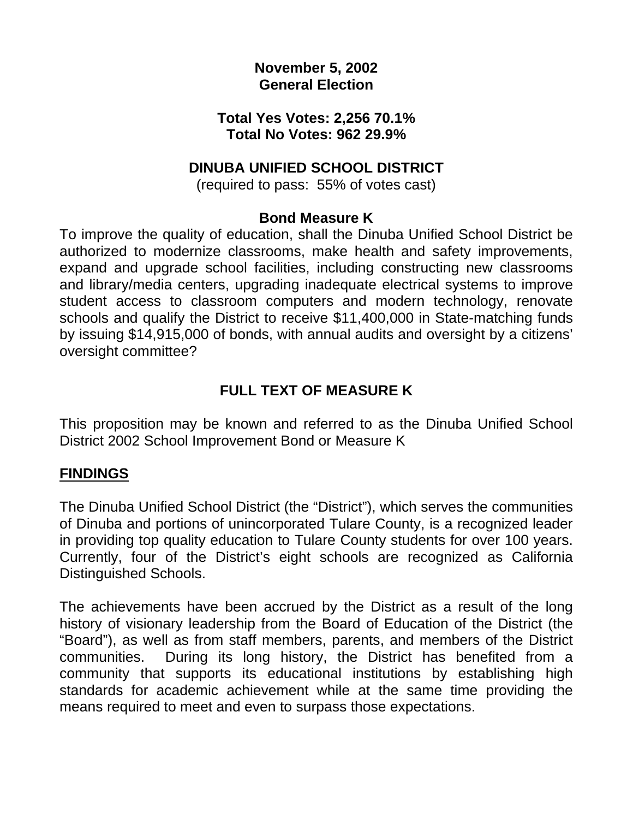### **November 5, 2002 General Election**

#### **Total Yes Votes: 2,256 70.1% Total No Votes: 962 29.9%**

### **DINUBA UNIFIED SCHOOL DISTRICT**

(required to pass: 55% of votes cast)

#### **Bond Measure K**

To improve the quality of education, shall the Dinuba Unified School District be authorized to modernize classrooms, make health and safety improvements, expand and upgrade school facilities, including constructing new classrooms and library/media centers, upgrading inadequate electrical systems to improve student access to classroom computers and modern technology, renovate schools and qualify the District to receive \$11,400,000 in State-matching funds by issuing \$14,915,000 of bonds, with annual audits and oversight by a citizens' oversight committee?

## **FULL TEXT OF MEASURE K**

This proposition may be known and referred to as the Dinuba Unified School District 2002 School Improvement Bond or Measure K

#### **FINDINGS**

The Dinuba Unified School District (the "District"), which serves the communities of Dinuba and portions of unincorporated Tulare County, is a recognized leader in providing top quality education to Tulare County students for over 100 years. Currently, four of the District's eight schools are recognized as California Distinguished Schools.

The achievements have been accrued by the District as a result of the long history of visionary leadership from the Board of Education of the District (the "Board"), as well as from staff members, parents, and members of the District communities. During its long history, the District has benefited from a community that supports its educational institutions by establishing high standards for academic achievement while at the same time providing the means required to meet and even to surpass those expectations.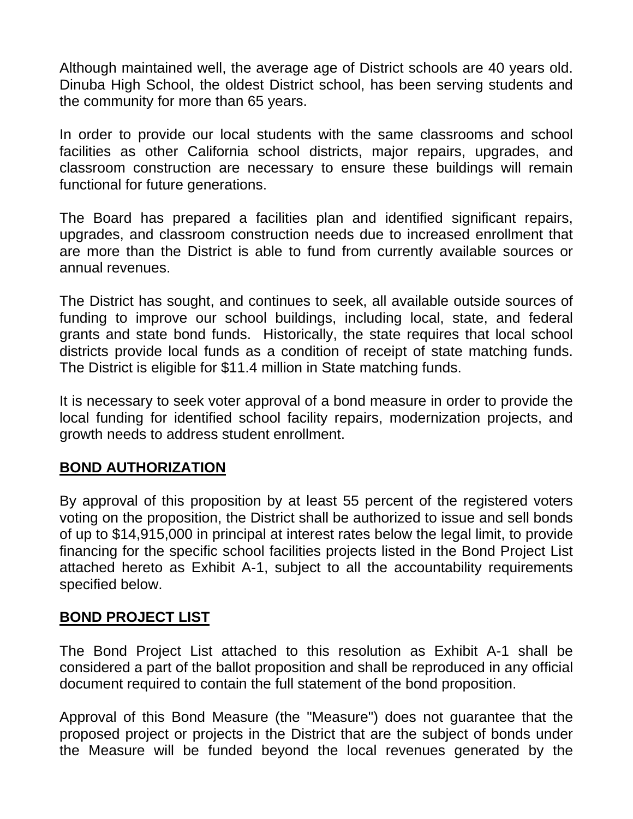Although maintained well, the average age of District schools are 40 years old. Dinuba High School, the oldest District school, has been serving students and the community for more than 65 years.

In order to provide our local students with the same classrooms and school facilities as other California school districts, major repairs, upgrades, and classroom construction are necessary to ensure these buildings will remain functional for future generations.

The Board has prepared a facilities plan and identified significant repairs, upgrades, and classroom construction needs due to increased enrollment that are more than the District is able to fund from currently available sources or annual revenues.

The District has sought, and continues to seek, all available outside sources of funding to improve our school buildings, including local, state, and federal grants and state bond funds. Historically, the state requires that local school districts provide local funds as a condition of receipt of state matching funds. The District is eligible for \$11.4 million in State matching funds.

It is necessary to seek voter approval of a bond measure in order to provide the local funding for identified school facility repairs, modernization projects, and growth needs to address student enrollment.

#### **BOND AUTHORIZATION**

By approval of this proposition by at least 55 percent of the registered voters voting on the proposition, the District shall be authorized to issue and sell bonds of up to \$14,915,000 in principal at interest rates below the legal limit, to provide financing for the specific school facilities projects listed in the Bond Project List attached hereto as Exhibit A-1, subject to all the accountability requirements specified below.

## **BOND PROJECT LIST**

The Bond Project List attached to this resolution as Exhibit A-1 shall be considered a part of the ballot proposition and shall be reproduced in any official document required to contain the full statement of the bond proposition.

Approval of this Bond Measure (the "Measure") does not guarantee that the proposed project or projects in the District that are the subject of bonds under the Measure will be funded beyond the local revenues generated by the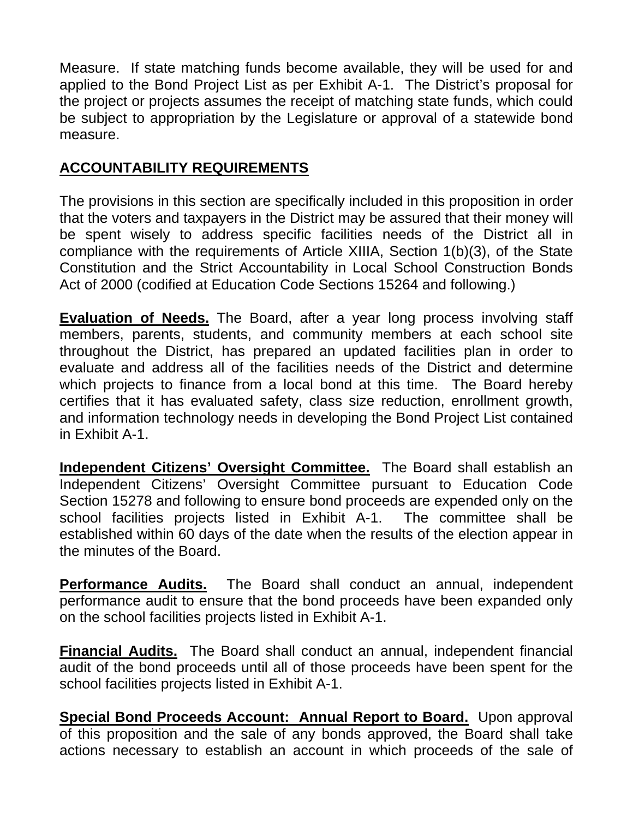Measure. If state matching funds become available, they will be used for and applied to the Bond Project List as per Exhibit A-1. The District's proposal for the project or projects assumes the receipt of matching state funds, which could be subject to appropriation by the Legislature or approval of a statewide bond measure.

### **ACCOUNTABILITY REQUIREMENTS**

The provisions in this section are specifically included in this proposition in order that the voters and taxpayers in the District may be assured that their money will be spent wisely to address specific facilities needs of the District all in compliance with the requirements of Article XIIIA, Section 1(b)(3), of the State Constitution and the Strict Accountability in Local School Construction Bonds Act of 2000 (codified at Education Code Sections 15264 and following.)

**Evaluation of Needs.** The Board, after a year long process involving staff members, parents, students, and community members at each school site throughout the District, has prepared an updated facilities plan in order to evaluate and address all of the facilities needs of the District and determine which projects to finance from a local bond at this time. The Board hereby certifies that it has evaluated safety, class size reduction, enrollment growth, and information technology needs in developing the Bond Project List contained in Exhibit A-1.

**Independent Citizens' Oversight Committee.** The Board shall establish an Independent Citizens' Oversight Committee pursuant to Education Code Section 15278 and following to ensure bond proceeds are expended only on the school facilities projects listed in Exhibit A-1. The committee shall be established within 60 days of the date when the results of the election appear in the minutes of the Board.

**Performance Audits.** The Board shall conduct an annual, independent performance audit to ensure that the bond proceeds have been expanded only on the school facilities projects listed in Exhibit A-1.

**Financial Audits.** The Board shall conduct an annual, independent financial audit of the bond proceeds until all of those proceeds have been spent for the school facilities projects listed in Exhibit A-1.

**Special Bond Proceeds Account: Annual Report to Board.** Upon approval of this proposition and the sale of any bonds approved, the Board shall take actions necessary to establish an account in which proceeds of the sale of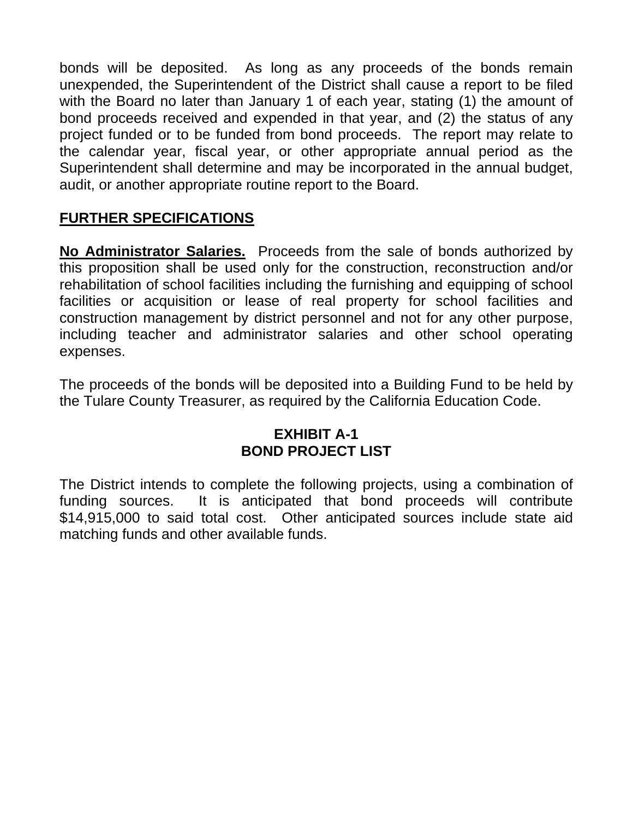bonds will be deposited. As long as any proceeds of the bonds remain unexpended, the Superintendent of the District shall cause a report to be filed with the Board no later than January 1 of each year, stating (1) the amount of bond proceeds received and expended in that year, and (2) the status of any project funded or to be funded from bond proceeds. The report may relate to the calendar year, fiscal year, or other appropriate annual period as the Superintendent shall determine and may be incorporated in the annual budget, audit, or another appropriate routine report to the Board.

## **FURTHER SPECIFICATIONS**

**No Administrator Salaries.** Proceeds from the sale of bonds authorized by this proposition shall be used only for the construction, reconstruction and/or rehabilitation of school facilities including the furnishing and equipping of school facilities or acquisition or lease of real property for school facilities and construction management by district personnel and not for any other purpose, including teacher and administrator salaries and other school operating expenses.

The proceeds of the bonds will be deposited into a Building Fund to be held by the Tulare County Treasurer, as required by the California Education Code.

## **EXHIBIT A-1 BOND PROJECT LIST**

The District intends to complete the following projects, using a combination of funding sources. It is anticipated that bond proceeds will contribute \$14,915,000 to said total cost. Other anticipated sources include state aid matching funds and other available funds.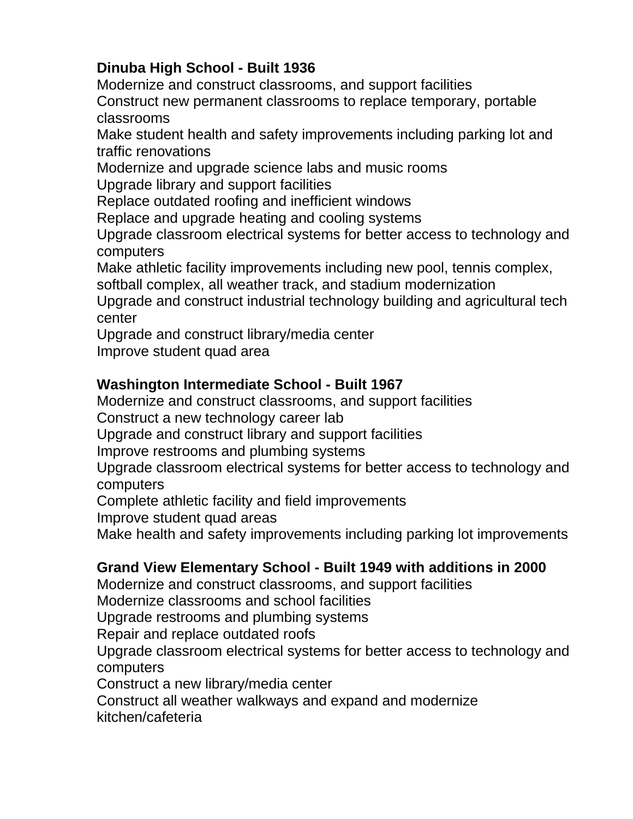# **Dinuba High School - Built 1936**

Modernize and construct classrooms, and support facilities Construct new permanent classrooms to replace temporary, portable classrooms

Make student health and safety improvements including parking lot and traffic renovations

Modernize and upgrade science labs and music rooms Upgrade library and support facilities

Replace outdated roofing and inefficient windows

Replace and upgrade heating and cooling systems

Upgrade classroom electrical systems for better access to technology and computers

Make athletic facility improvements including new pool, tennis complex,

softball complex, all weather track, and stadium modernization

Upgrade and construct industrial technology building and agricultural tech center

Upgrade and construct library/media center Improve student quad area

# **Washington Intermediate School - Built 1967**

Modernize and construct classrooms, and support facilities

Construct a new technology career lab

Upgrade and construct library and support facilities

Improve restrooms and plumbing systems

Upgrade classroom electrical systems for better access to technology and computers

Complete athletic facility and field improvements

Improve student quad areas

Make health and safety improvements including parking lot improvements

## **Grand View Elementary School - Built 1949 with additions in 2000**

Modernize and construct classrooms, and support facilities

Modernize classrooms and school facilities

Upgrade restrooms and plumbing systems

Repair and replace outdated roofs

Upgrade classroom electrical systems for better access to technology and computers

Construct a new library/media center

Construct all weather walkways and expand and modernize

kitchen/cafeteria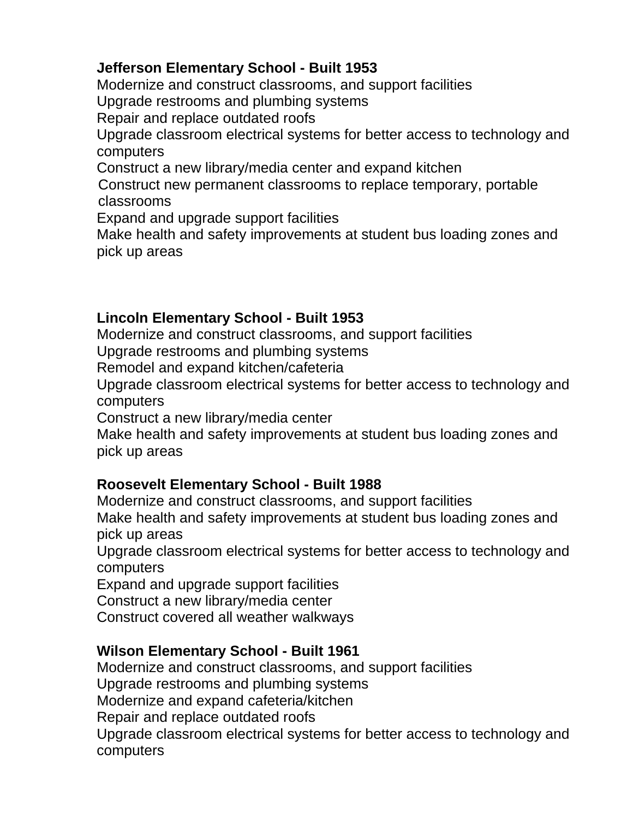## **Jefferson Elementary School - Built 1953**

Modernize and construct classrooms, and support facilities

Upgrade restrooms and plumbing systems

Repair and replace outdated roofs

Upgrade classroom electrical systems for better access to technology and computers

Construct a new library/media center and expand kitchen

Construct new permanent classrooms to replace temporary, portable classrooms

Expand and upgrade support facilities

Make health and safety improvements at student bus loading zones and pick up areas

## **Lincoln Elementary School - Built 1953**

Modernize and construct classrooms, and support facilities

Upgrade restrooms and plumbing systems

Remodel and expand kitchen/cafeteria

Upgrade classroom electrical systems for better access to technology and computers

Construct a new library/media center

Make health and safety improvements at student bus loading zones and pick up areas

#### **Roosevelt Elementary School - Built 1988**

Modernize and construct classrooms, and support facilities Make health and safety improvements at student bus loading zones and pick up areas

Upgrade classroom electrical systems for better access to technology and computers

Expand and upgrade support facilities

Construct a new library/media center

Construct covered all weather walkways

## **Wilson Elementary School - Built 1961**

Modernize and construct classrooms, and support facilities Upgrade restrooms and plumbing systems Modernize and expand cafeteria/kitchen Repair and replace outdated roofs Upgrade classroom electrical systems for better access to technology and computers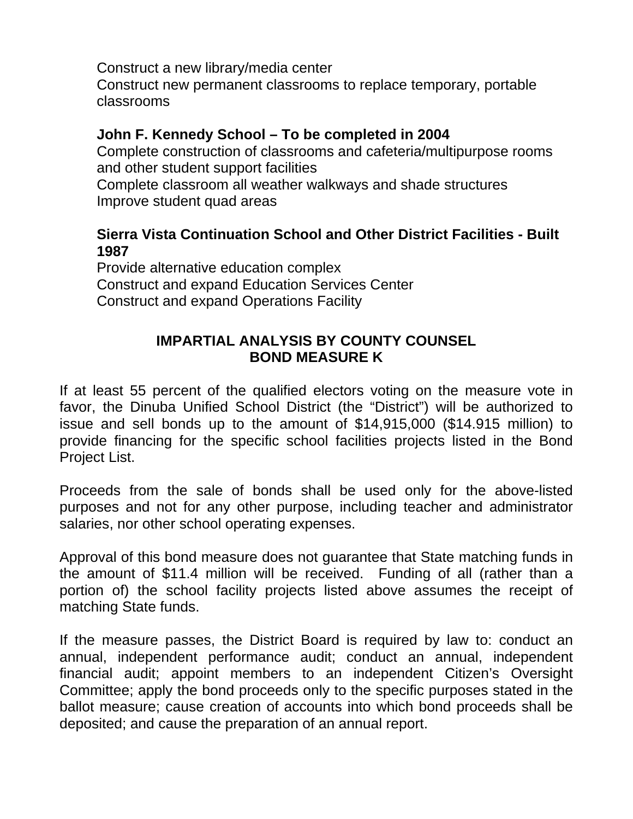Construct a new library/media center

Construct new permanent classrooms to replace temporary, portable classrooms

### **John F. Kennedy School – To be completed in 2004**

Complete construction of classrooms and cafeteria/multipurpose rooms and other student support facilities

Complete classroom all weather walkways and shade structures Improve student quad areas

#### **Sierra Vista Continuation School and Other District Facilities - Built 1987**

Provide alternative education complex Construct and expand Education Services Center Construct and expand Operations Facility

### **IMPARTIAL ANALYSIS BY COUNTY COUNSEL BOND MEASURE K**

If at least 55 percent of the qualified electors voting on the measure vote in favor, the Dinuba Unified School District (the "District") will be authorized to issue and sell bonds up to the amount of \$14,915,000 (\$14.915 million) to provide financing for the specific school facilities projects listed in the Bond Project List.

Proceeds from the sale of bonds shall be used only for the above-listed purposes and not for any other purpose, including teacher and administrator salaries, nor other school operating expenses.

Approval of this bond measure does not guarantee that State matching funds in the amount of \$11.4 million will be received. Funding of all (rather than a portion of) the school facility projects listed above assumes the receipt of matching State funds.

If the measure passes, the District Board is required by law to: conduct an annual, independent performance audit; conduct an annual, independent financial audit; appoint members to an independent Citizen's Oversight Committee; apply the bond proceeds only to the specific purposes stated in the ballot measure; cause creation of accounts into which bond proceeds shall be deposited; and cause the preparation of an annual report.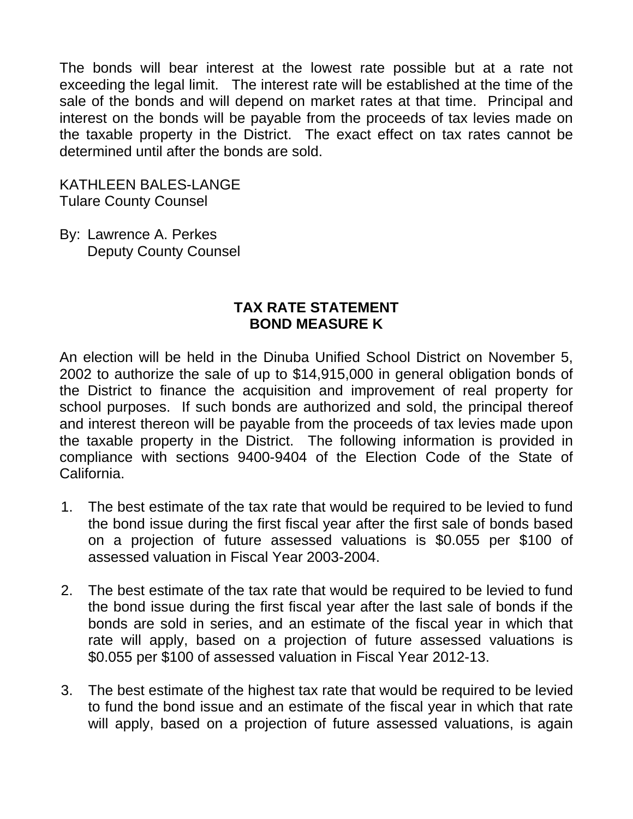The bonds will bear interest at the lowest rate possible but at a rate not exceeding the legal limit. The interest rate will be established at the time of the sale of the bonds and will depend on market rates at that time. Principal and interest on the bonds will be payable from the proceeds of tax levies made on the taxable property in the District. The exact effect on tax rates cannot be determined until after the bonds are sold.

KATHLEEN BALES-LANGE Tulare County Counsel

By: Lawrence A. Perkes Deputy County Counsel

#### **TAX RATE STATEMENT BOND MEASURE K**

An election will be held in the Dinuba Unified School District on November 5, 2002 to authorize the sale of up to \$14,915,000 in general obligation bonds of the District to finance the acquisition and improvement of real property for school purposes. If such bonds are authorized and sold, the principal thereof and interest thereon will be payable from the proceeds of tax levies made upon the taxable property in the District. The following information is provided in compliance with sections 9400-9404 of the Election Code of the State of California.

- 1. The best estimate of the tax rate that would be required to be levied to fund the bond issue during the first fiscal year after the first sale of bonds based on a projection of future assessed valuations is \$0.055 per \$100 of assessed valuation in Fiscal Year 2003-2004.
- 2. The best estimate of the tax rate that would be required to be levied to fund the bond issue during the first fiscal year after the last sale of bonds if the bonds are sold in series, and an estimate of the fiscal year in which that rate will apply, based on a projection of future assessed valuations is \$0.055 per \$100 of assessed valuation in Fiscal Year 2012-13.
- 3. The best estimate of the highest tax rate that would be required to be levied to fund the bond issue and an estimate of the fiscal year in which that rate will apply, based on a projection of future assessed valuations, is again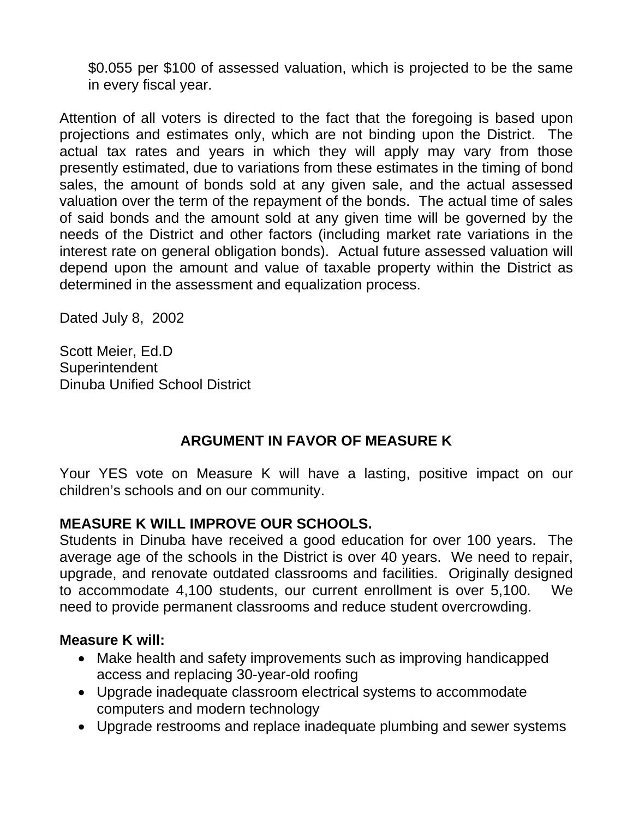\$0.055 per \$100 of assessed valuation, which is projected to be the same in every fiscal year.

Attention of all voters is directed to the fact that the foregoing is based upon projections and estimates only, which are not binding upon the District. The actual tax rates and years in which they will apply may vary from those presently estimated, due to variations from these estimates in the timing of bond sales, the amount of bonds sold at any given sale, and the actual assessed valuation over the term of the repayment of the bonds. The actual time of sales of said bonds and the amount sold at any given time will be governed by the needs of the District and other factors (including market rate variations in the interest rate on general obligation bonds). Actual future assessed valuation will depend upon the amount and value of taxable property within the District as determined in the assessment and equalization process.

Dated July 8, 2002

Scott Meier, Ed.D **Superintendent** Dinuba Unified School District

## **ARGUMENT IN FAVOR OF MEASURE K**

Your YES vote on Measure K will have a lasting, positive impact on our children's schools and on our community.

## **MEASURE K WILL IMPROVE OUR SCHOOLS.**

Students in Dinuba have received a good education for over 100 years. The average age of the schools in the District is over 40 years. We need to repair, upgrade, and renovate outdated classrooms and facilities. Originally designed to accommodate 4,100 students, our current enrollment is over 5,100. We need to provide permanent classrooms and reduce student overcrowding.

#### **Measure K will:**

- Make health and safety improvements such as improving handicapped access and replacing 30-year-old roofing
- Upgrade inadequate classroom electrical systems to accommodate computers and modern technology
- Upgrade restrooms and replace inadequate plumbing and sewer systems